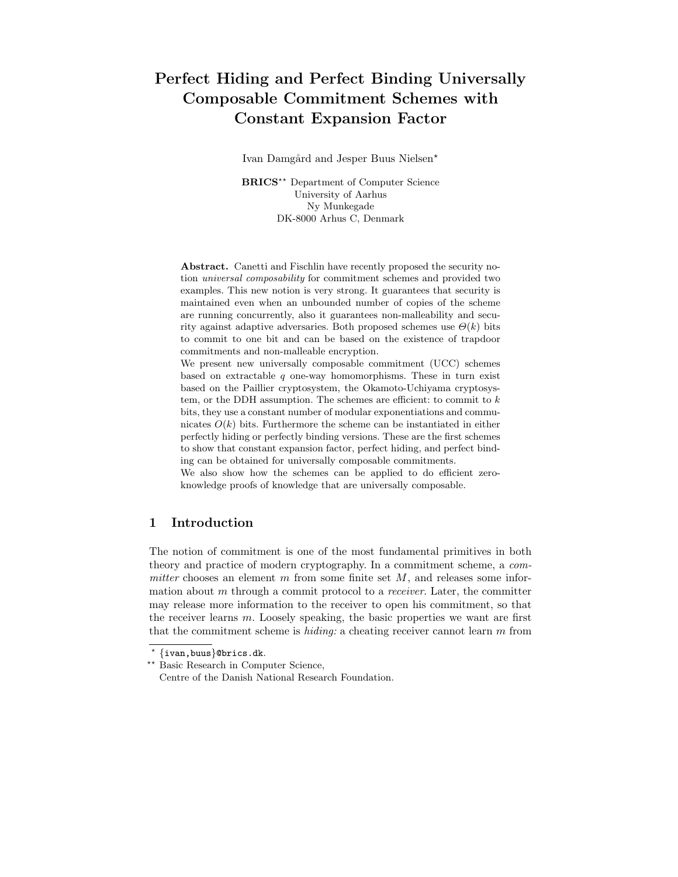# Perfect Hiding and Perfect Binding Universally Composable Commitment Schemes with Constant Expansion Factor

Ivan Damgård and Jesper Buus Nielsen\*

BRICS<sup>\*\*</sup> Department of Computer Science University of Aarhus Ny Munkegade DK-8000 Arhus C, Denmark

Abstract. Canetti and Fischlin have recently proposed the security notion universal composability for commitment schemes and provided two examples. This new notion is very strong. It guarantees that security is maintained even when an unbounded number of copies of the scheme are running concurrently, also it guarantees non-malleability and security against adaptive adversaries. Both proposed schemes use  $\Theta(k)$  bits to commit to one bit and can be based on the existence of trapdoor commitments and non-malleable encryption.

We present new universally composable commitment (UCC) schemes based on extractable  $q$  one-way homomorphisms. These in turn exist based on the Paillier cryptosystem, the Okamoto-Uchiyama cryptosystem, or the DDH assumption. The schemes are efficient: to commit to  $k$ bits, they use a constant number of modular exponentiations and communicates  $O(k)$  bits. Furthermore the scheme can be instantiated in either perfectly hiding or perfectly binding versions. These are the first schemes to show that constant expansion factor, perfect hiding, and perfect binding can be obtained for universally composable commitments.

We also show how the schemes can be applied to do efficient zeroknowledge proofs of knowledge that are universally composable.

## 1 Introduction

The notion of commitment is one of the most fundamental primitives in both theory and practice of modern cryptography. In a commitment scheme, a committer chooses an element  $m$  from some finite set  $M$ , and releases some information about  $m$  through a commit protocol to a *receiver*. Later, the committer may release more information to the receiver to open his commitment, so that the receiver learns m. Loosely speaking, the basic properties we want are first that the commitment scheme is *hiding*: a cheating receiver cannot learn  $m$  from

<sup>?</sup> {ivan,buus}@brics.dk.

<sup>\*\*</sup> Basic Research in Computer Science,

Centre of the Danish National Research Foundation.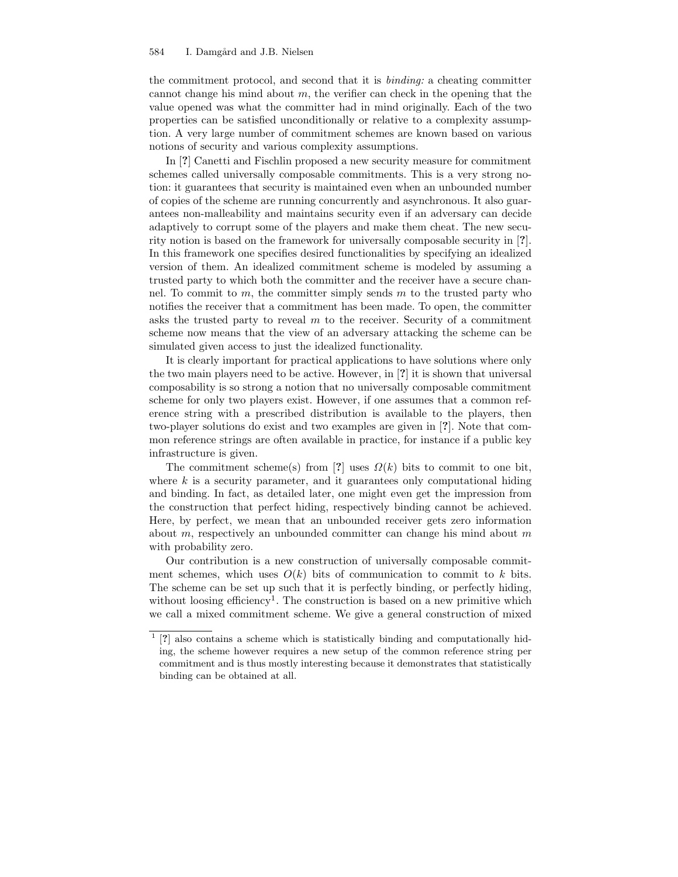the commitment protocol, and second that it is binding: a cheating committer cannot change his mind about  $m$ , the verifier can check in the opening that the value opened was what the committer had in mind originally. Each of the two properties can be satisfied unconditionally or relative to a complexity assumption. A very large number of commitment schemes are known based on various notions of security and various complexity assumptions.

In [?] Canetti and Fischlin proposed a new security measure for commitment schemes called universally composable commitments. This is a very strong notion: it guarantees that security is maintained even when an unbounded number of copies of the scheme are running concurrently and asynchronous. It also guarantees non-malleability and maintains security even if an adversary can decide adaptively to corrupt some of the players and make them cheat. The new security notion is based on the framework for universally composable security in [?]. In this framework one specifies desired functionalities by specifying an idealized version of them. An idealized commitment scheme is modeled by assuming a trusted party to which both the committer and the receiver have a secure channel. To commit to  $m$ , the committer simply sends  $m$  to the trusted party who notifies the receiver that a commitment has been made. To open, the committer asks the trusted party to reveal  $m$  to the receiver. Security of a commitment scheme now means that the view of an adversary attacking the scheme can be simulated given access to just the idealized functionality.

It is clearly important for practical applications to have solutions where only the two main players need to be active. However, in [?] it is shown that universal composability is so strong a notion that no universally composable commitment scheme for only two players exist. However, if one assumes that a common reference string with a prescribed distribution is available to the players, then two-player solutions do exist and two examples are given in [?]. Note that common reference strings are often available in practice, for instance if a public key infrastructure is given.

The commitment scheme(s) from [?] uses  $\Omega(k)$  bits to commit to one bit, where  $k$  is a security parameter, and it guarantees only computational hiding and binding. In fact, as detailed later, one might even get the impression from the construction that perfect hiding, respectively binding cannot be achieved. Here, by perfect, we mean that an unbounded receiver gets zero information about  $m$ , respectively an unbounded committer can change his mind about  $m$ with probability zero.

Our contribution is a new construction of universally composable commitment schemes, which uses  $O(k)$  bits of communication to commit to k bits. The scheme can be set up such that it is perfectly binding, or perfectly hiding, without loosing efficiency<sup>1</sup>. The construction is based on a new primitive which we call a mixed commitment scheme. We give a general construction of mixed

<sup>1</sup> [?] also contains a scheme which is statistically binding and computationally hiding, the scheme however requires a new setup of the common reference string per commitment and is thus mostly interesting because it demonstrates that statistically binding can be obtained at all.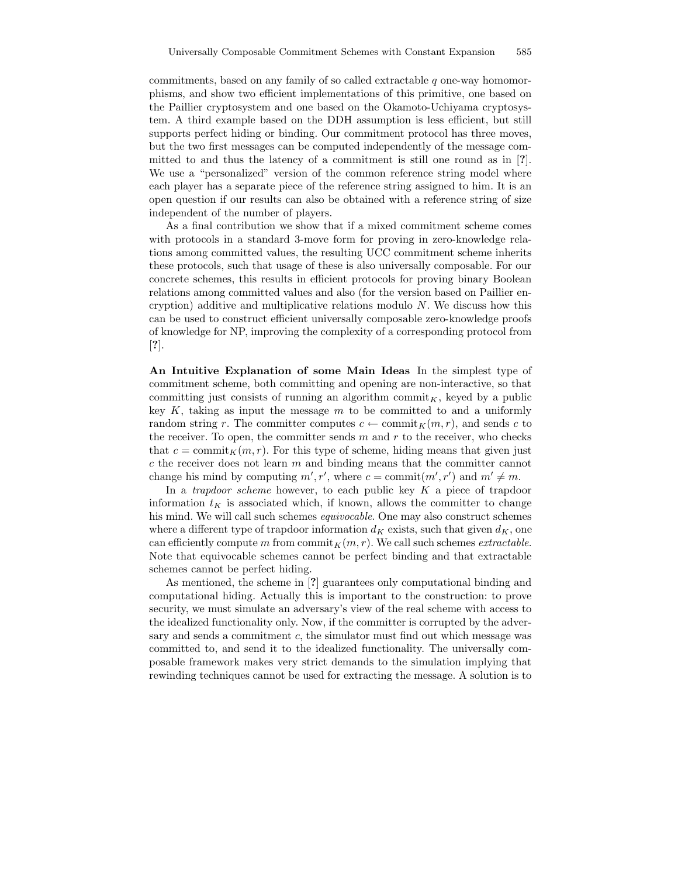commitments, based on any family of so called extractable q one-way homomorphisms, and show two efficient implementations of this primitive, one based on the Paillier cryptosystem and one based on the Okamoto-Uchiyama cryptosystem. A third example based on the DDH assumption is less efficient, but still supports perfect hiding or binding. Our commitment protocol has three moves, but the two first messages can be computed independently of the message committed to and thus the latency of a commitment is still one round as in [?]. We use a "personalized" version of the common reference string model where each player has a separate piece of the reference string assigned to him. It is an open question if our results can also be obtained with a reference string of size independent of the number of players.

As a final contribution we show that if a mixed commitment scheme comes with protocols in a standard 3-move form for proving in zero-knowledge relations among committed values, the resulting UCC commitment scheme inherits these protocols, such that usage of these is also universally composable. For our concrete schemes, this results in efficient protocols for proving binary Boolean relations among committed values and also (for the version based on Paillier encryption) additive and multiplicative relations modulo  $N$ . We discuss how this can be used to construct efficient universally composable zero-knowledge proofs of knowledge for NP, improving the complexity of a corresponding protocol from [?].

An Intuitive Explanation of some Main Ideas In the simplest type of commitment scheme, both committing and opening are non-interactive, so that committing just consists of running an algorithm commit<sub>K</sub>, keyed by a public key  $K$ , taking as input the message  $m$  to be committed to and a uniformly random string r. The committer computes  $c \leftarrow \text{commit}_{K}(m, r)$ , and sends c to the receiver. To open, the committer sends  $m$  and  $r$  to the receiver, who checks that  $c = \text{commit}_K(m, r)$ . For this type of scheme, hiding means that given just  $c$  the receiver does not learn  $m$  and binding means that the committer cannot change his mind by computing  $m', r'$ , where  $c = \text{commit}(m', r')$  and  $m' \neq m$ .

In a *trapdoor scheme* however, to each public key  $K$  a piece of trapdoor information  $t_K$  is associated which, if known, allows the committer to change his mind. We will call such schemes equivocable. One may also construct schemes where a different type of trapdoor information  $d_K$  exists, such that given  $d_K$ , one can efficiently compute m from commit<sub>K</sub> $(m, r)$ . We call such schemes *extractable*. Note that equivocable schemes cannot be perfect binding and that extractable schemes cannot be perfect hiding.

As mentioned, the scheme in [?] guarantees only computational binding and computational hiding. Actually this is important to the construction: to prove security, we must simulate an adversary's view of the real scheme with access to the idealized functionality only. Now, if the committer is corrupted by the adversary and sends a commitment c, the simulator must find out which message was committed to, and send it to the idealized functionality. The universally composable framework makes very strict demands to the simulation implying that rewinding techniques cannot be used for extracting the message. A solution is to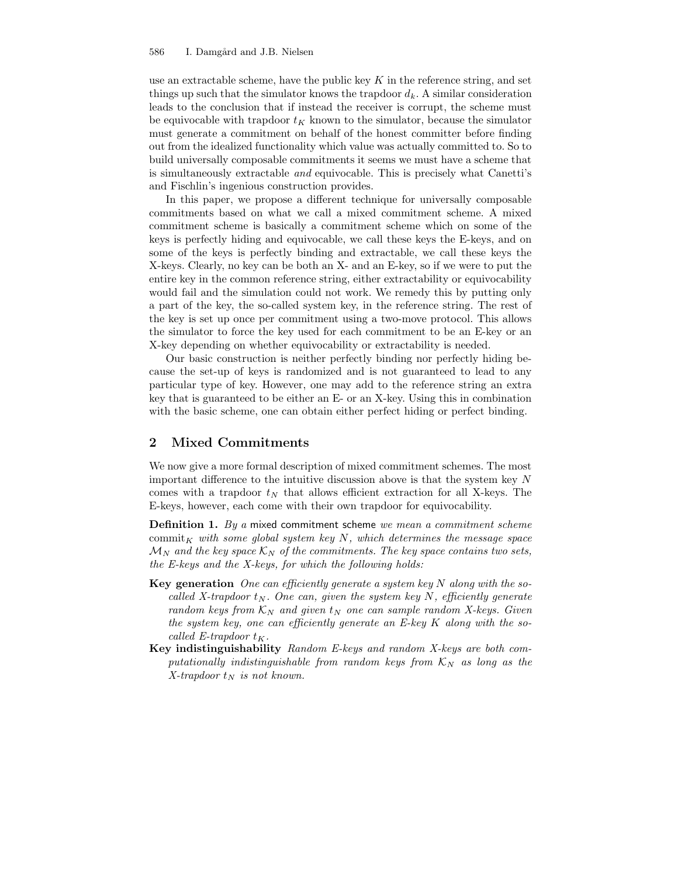use an extractable scheme, have the public key  $K$  in the reference string, and set things up such that the simulator knows the trapdoor  $d_k$ . A similar consideration leads to the conclusion that if instead the receiver is corrupt, the scheme must be equivocable with trapdoor  $t_K$  known to the simulator, because the simulator must generate a commitment on behalf of the honest committer before finding out from the idealized functionality which value was actually committed to. So to build universally composable commitments it seems we must have a scheme that is simultaneously extractable and equivocable. This is precisely what Canetti's and Fischlin's ingenious construction provides.

In this paper, we propose a different technique for universally composable commitments based on what we call a mixed commitment scheme. A mixed commitment scheme is basically a commitment scheme which on some of the keys is perfectly hiding and equivocable, we call these keys the E-keys, and on some of the keys is perfectly binding and extractable, we call these keys the X-keys. Clearly, no key can be both an X- and an E-key, so if we were to put the entire key in the common reference string, either extractability or equivocability would fail and the simulation could not work. We remedy this by putting only a part of the key, the so-called system key, in the reference string. The rest of the key is set up once per commitment using a two-move protocol. This allows the simulator to force the key used for each commitment to be an E-key or an X-key depending on whether equivocability or extractability is needed.

Our basic construction is neither perfectly binding nor perfectly hiding because the set-up of keys is randomized and is not guaranteed to lead to any particular type of key. However, one may add to the reference string an extra key that is guaranteed to be either an E- or an X-key. Using this in combination with the basic scheme, one can obtain either perfect hiding or perfect binding.

## 2 Mixed Commitments

We now give a more formal description of mixed commitment schemes. The most important difference to the intuitive discussion above is that the system key N comes with a trapdoor  $t_N$  that allows efficient extraction for all X-keys. The E-keys, however, each come with their own trapdoor for equivocability.

**Definition 1.** By a mixed commitment scheme we mean a commitment scheme commit<sub>K</sub> with some global system key N, which determines the message space  $\mathcal{M}_N$  and the key space  $\mathcal{K}_N$  of the commitments. The key space contains two sets, the E-keys and the X-keys, for which the following holds:

- **Key generation** One can efficiently generate a system key  $N$  along with the socalled X-trapdoor  $t_N$ . One can, given the system key N, efficiently generate random keys from  $K_N$  and given  $t_N$  one can sample random X-keys. Given the system key, one can efficiently generate an E-key K along with the socalled E-trapdoor  $t_K$ .
- Key indistinguishability Random E-keys and random X-keys are both computationally indistinguishable from random keys from  $K_N$  as long as the  $X$ -trapdoor  $t_N$  is not known.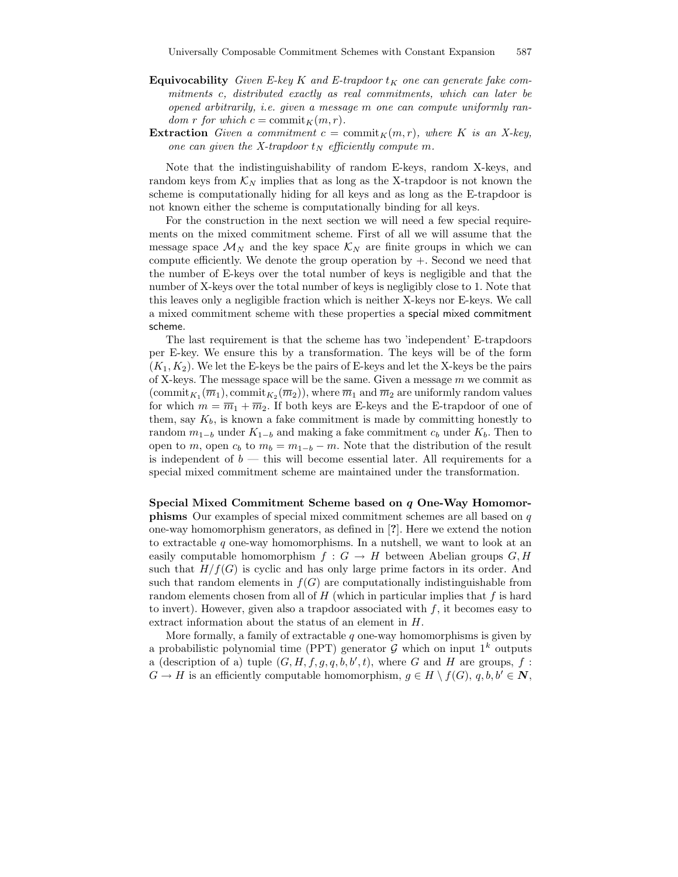- **Equivocability** Given E-key K and E-trapdoor  $t_K$  one can generate fake commitments c, distributed exactly as real commitments, which can later be opened arbitrarily, i.e. given a message m one can compute uniformly random r for which  $c = \text{commit}_K(m, r)$ .
- Extraction Given a commitment  $c = \text{commit}_K(m, r)$ , where K is an X-key, one can given the X-trapdoor  $t_N$  efficiently compute m.

Note that the indistinguishability of random E-keys, random X-keys, and random keys from  $\mathcal{K}_N$  implies that as long as the X-trapdoor is not known the scheme is computationally hiding for all keys and as long as the E-trapdoor is not known either the scheme is computationally binding for all keys.

For the construction in the next section we will need a few special requirements on the mixed commitment scheme. First of all we will assume that the message space  $\mathcal{M}_N$  and the key space  $\mathcal{K}_N$  are finite groups in which we can compute efficiently. We denote the group operation by  $+$ . Second we need that the number of E-keys over the total number of keys is negligible and that the number of X-keys over the total number of keys is negligibly close to 1. Note that this leaves only a negligible fraction which is neither X-keys nor E-keys. We call a mixed commitment scheme with these properties a special mixed commitment scheme.

The last requirement is that the scheme has two 'independent' E-trapdoors per E-key. We ensure this by a transformation. The keys will be of the form  $(K_1, K_2)$ . We let the E-keys be the pairs of E-keys and let the X-keys be the pairs of X-keys. The message space will be the same. Given a message  $m$  we commit as (commit<sub>K<sub>1</sub></sub> $(\overline{m}_1)$ , commit<sub>K<sub>2</sub></sub> $(\overline{m}_2)$ ), where  $\overline{m}_1$  and  $\overline{m}_2$  are uniformly random values for which  $m = \overline{m}_1 + \overline{m}_2$ . If both keys are E-keys and the E-trapdoor of one of them, say  $K_b$ , is known a fake commitment is made by committing honestly to random  $m_{1-b}$  under  $K_{1-b}$  and making a fake commitment  $c_b$  under  $K_b$ . Then to open to m, open  $c_b$  to  $m_b = m_{1-b} - m$ . Note that the distribution of the result is independent of  $b$  — this will become essential later. All requirements for a special mixed commitment scheme are maintained under the transformation.

#### Special Mixed Commitment Scheme based on q One-Way Homomor-

phisms Our examples of special mixed commitment schemes are all based on q one-way homomorphism generators, as defined in [?]. Here we extend the notion to extractable  $q$  one-way homomorphisms. In a nutshell, we want to look at an easily computable homomorphism  $f: G \to H$  between Abelian groups  $G, H$ such that  $H/f(G)$  is cyclic and has only large prime factors in its order. And such that random elements in  $f(G)$  are computationally indistinguishable from random elements chosen from all of  $H$  (which in particular implies that  $f$  is hard to invert). However, given also a trapdoor associated with  $f$ , it becomes easy to extract information about the status of an element in H.

More formally, a family of extractable  $q$  one-way homomorphisms is given by a probabilistic polynomial time (PPT) generator  $G$  which on input  $1^k$  outputs a (description of a) tuple  $(G, H, f, g, q, b, b', t)$ , where G and H are groups, f:  $G \to H$  is an efficiently computable homomorphism,  $g \in H \setminus f(G)$ ,  $q, b, b' \in \mathbb{N}$ ,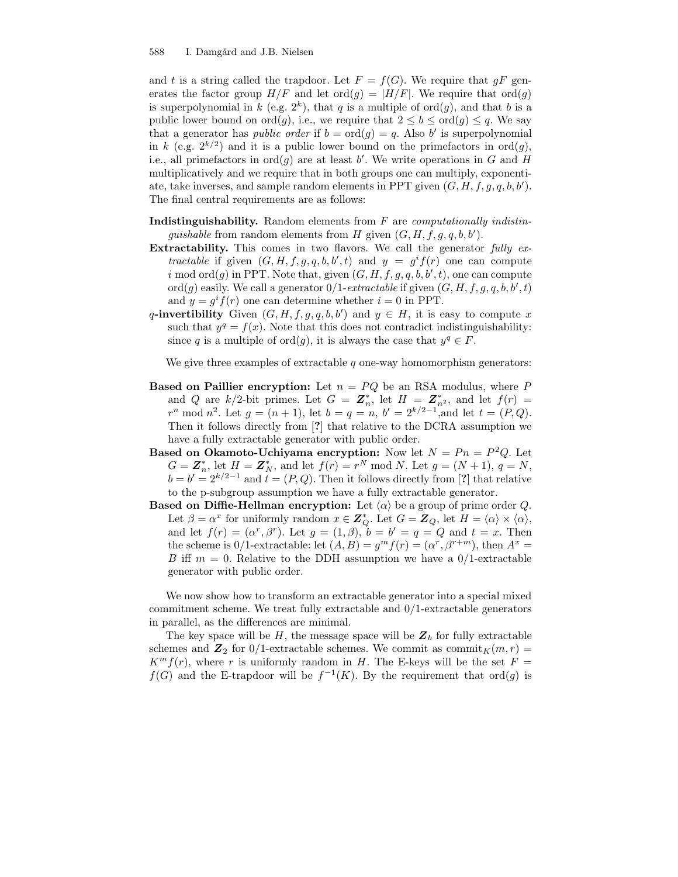and t is a string called the trapdoor. Let  $F = f(G)$ . We require that  $qF$  generates the factor group  $H/F$  and let ord $(g) = |H/F|$ . We require that ord $(g)$ is superpolynomial in k (e.g.  $2^k$ ), that q is a multiple of ord(g), and that b is a public lower bound on ord $(g)$ , i.e., we require that  $2 \leq b \leq \text{ord}(g) \leq q$ . We say that a generator has *public order* if  $b = \text{ord}(g) = q$ . Also b' is superpolynomial in k (e.g.  $2^{k/2}$ ) and it is a public lower bound on the primefactors in  $\text{ord}(g)$ , i.e., all prime factors in  $\text{ord}(g)$  are at least b'. We write operations in G and H multiplicatively and we require that in both groups one can multiply, exponentiate, take inverses, and sample random elements in PPT given  $(G, H, f, g, q, b, b')$ . The final central requirements are as follows:

- Indistinguishability. Random elements from  $F$  are *computationally indistinguishable* from random elements from H given  $(G, H, f, g, q, b, b')$ .
- Extractability. This comes in two flavors. We call the generator fully extractable if given  $(G, H, f, g, q, b, b', t)$  and  $y = g^{i} f(r)$  one can compute i mod ord $(g)$  in PPT. Note that, given  $(G, H, f, g, q, b, b', t)$ , one can compute  $\operatorname{ord}(g)$  easily. We call a generator  $0/1\textrm{-}extractable$  if given  $(G, H, f, g, q, b, b', t)$ and  $y = g^{i} f(r)$  one can determine whether  $i = 0$  in PPT.
- q-invertibility Given  $(G, H, f, g, q, b, b')$  and  $y \in H$ , it is easy to compute x such that  $y^q = f(x)$ . Note that this does not contradict indistinguishability: since q is a multiple of ord $(g)$ , it is always the case that  $y^q \in F$ .

We give three examples of extractable  $q$  one-way homomorphism generators:

- **Based on Paillier encryption:** Let  $n = PQ$  be an RSA modulus, where P and Q are  $k/2$ -bit primes. Let  $G = \mathbf{Z}_n^*$ , let  $H = \mathbf{Z}_n^*$ , and let  $f(r) =$  $r^{n} \mod n^{2}$ . Let  $g = (n + 1)$ , let  $b = q = n$ ,  $b' = 2^{k/2-1}$ , and let  $t = (P, Q)$ . Then it follows directly from [?] that relative to the DCRA assumption we have a fully extractable generator with public order.
- Based on Okamoto-Uchiyama encryption: Now let  $N = Pn = P^2Q$ . Let  $G = \mathbf{Z}_n^*$ , let  $H = \mathbf{Z}_N^*$ , and let  $f(r) = r^N \mod N$ . Let  $g = (N + 1)$ ,  $q = N$ ,  $b = b' = 2^{k/2-1}$  and  $t = (P, Q)$ . Then it follows directly from [?] that relative to the p-subgroup assumption we have a fully extractable generator.
- **Based on Diffie-Hellman encryption:** Let  $\langle \alpha \rangle$  be a group of prime order Q. Let  $\beta = \alpha^x$  for uniformly random  $x \in \mathbb{Z}_Q^*$ . Let  $G = \mathbb{Z}_Q$ , let  $H = \langle \alpha \rangle \times \langle \alpha \rangle$ , and let  $f(r) = (\alpha^r, \beta^r)$ . Let  $g = (1, \beta), b = b' = q = Q$  and  $t = x$ . Then the scheme is 0/1-extractable: let  $(A, B) = g^m f(r) = (\alpha^r, \beta^{r+m})$ , then  $A^x =$ B iff  $m = 0$ . Relative to the DDH assumption we have a  $0/1$ -extractable generator with public order.

We now show how to transform an extractable generator into a special mixed commitment scheme. We treat fully extractable and 0/1-extractable generators in parallel, as the differences are minimal.

The key space will be  $H$ , the message space will be  $Z_b$  for fully extractable schemes and  $\mathbb{Z}_2$  for 0/1-extractable schemes. We commit as commit<sub>K</sub> $(m, r)$  =  $K^m f(r)$ , where r is uniformly random in H. The E-keys will be the set  $F =$  $f(G)$  and the E-trapdoor will be  $f^{-1}(K)$ . By the requirement that ord $(g)$  is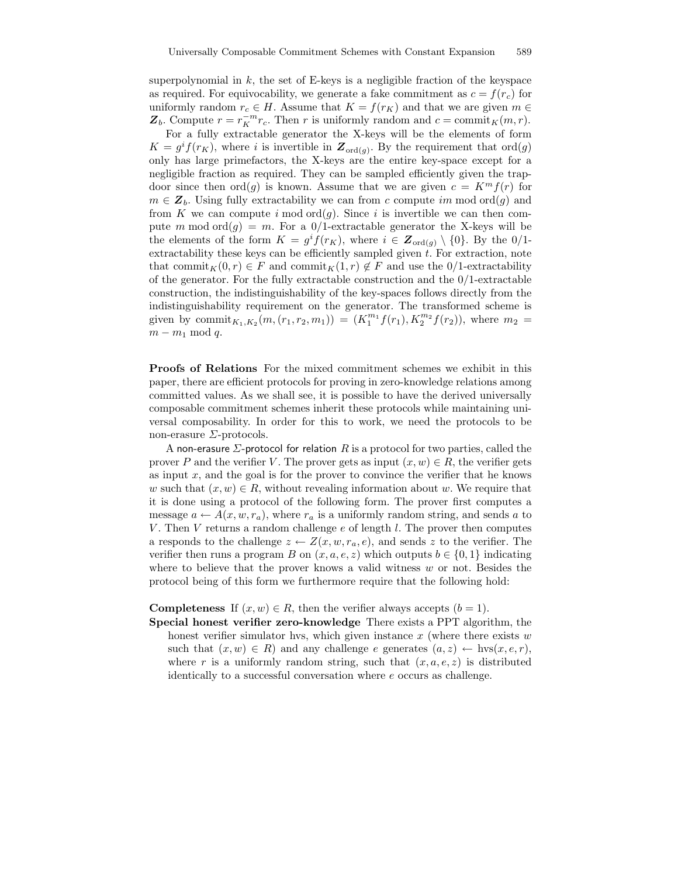superpolynomial in  $k$ , the set of E-keys is a negligible fraction of the keyspace as required. For equivocability, we generate a fake commitment as  $c = f(r_c)$  for uniformly random  $r_c \in H$ . Assume that  $K = f(r_K)$  and that we are given  $m \in$  $\mathbf{Z}_b$ . Compute  $r = r_K^{-m} r_c$ . Then r is uniformly random and  $c = \text{commit}_K(m, r)$ .

For a fully extractable generator the X-keys will be the elements of form  $K = g^{i} f(r_{K})$ , where i is invertible in  $\mathbb{Z}_{\text{ord}(g)}$ . By the requirement that ord $(g)$ only has large primefactors, the X-keys are the entire key-space except for a negligible fraction as required. They can be sampled efficiently given the trapdoor since then  $\text{ord}(g)$  is known. Assume that we are given  $c = K^m f(r)$  for  $m \in \mathbb{Z}_b$ . Using fully extractability we can from c compute im mod ord $(g)$  and from K we can compute i mod ord $(g)$ . Since i is invertible we can then compute m mod ord $(g) = m$ . For a 0/1-extractable generator the X-keys will be the elements of the form  $K = g^{i} f(r_{K})$ , where  $i \in \mathbb{Z}_{\text{ord}(g)} \setminus \{0\}$ . By the  $0/1$ extractability these keys can be efficiently sampled given  $t$ . For extraction, note that commit<sub>K</sub> $(0, r) \in F$  and commit<sub>K</sub> $(1, r) \notin F$  and use the 0/1-extractability of the generator. For the fully extractable construction and the 0/1-extractable construction, the indistinguishability of the key-spaces follows directly from the indistinguishability requirement on the generator. The transformed scheme is given by commit<sub>K1,K2</sub> $(m,(r_1,r_2,m_1)) = (K_1^{m_1}f(r_1), K_2^{m_2}f(r_2))$ , where  $m_2 =$  $m - m_1 \mod q$ .

Proofs of Relations For the mixed commitment schemes we exhibit in this paper, there are efficient protocols for proving in zero-knowledge relations among committed values. As we shall see, it is possible to have the derived universally composable commitment schemes inherit these protocols while maintaining universal composability. In order for this to work, we need the protocols to be non-erasure  $\Sigma$ -protocols.

A non-erasure  $\Sigma$ -protocol for relation R is a protocol for two parties, called the prover P and the verifier V. The prover gets as input  $(x, w) \in R$ , the verifier gets as input  $x$ , and the goal is for the prover to convince the verifier that he knows w such that  $(x, w) \in R$ , without revealing information about w. We require that it is done using a protocol of the following form. The prover first computes a message  $a \leftarrow A(x, w, r_a)$ , where  $r_a$  is a uniformly random string, and sends a to V. Then V returns a random challenge  $e$  of length  $l$ . The prover then computes a responds to the challenge  $z \leftarrow Z(x, w, r_a, e)$ , and sends z to the verifier. The verifier then runs a program B on  $(x, a, e, z)$  which outputs  $b \in \{0, 1\}$  indicating where to believe that the prover knows a valid witness  $w$  or not. Besides the protocol being of this form we furthermore require that the following hold:

**Completeness** If  $(x, w) \in R$ , then the verifier always accepts  $(b = 1)$ .

Special honest verifier zero-knowledge There exists a PPT algorithm, the honest verifier simulator hvs, which given instance  $x$  (where there exists  $w$ such that  $(x, w) \in R$ ) and any challenge e generates  $(a, z) \leftarrow \text{hvs}(x, e, r)$ , where r is a uniformly random string, such that  $(x, a, e, z)$  is distributed identically to a successful conversation where e occurs as challenge.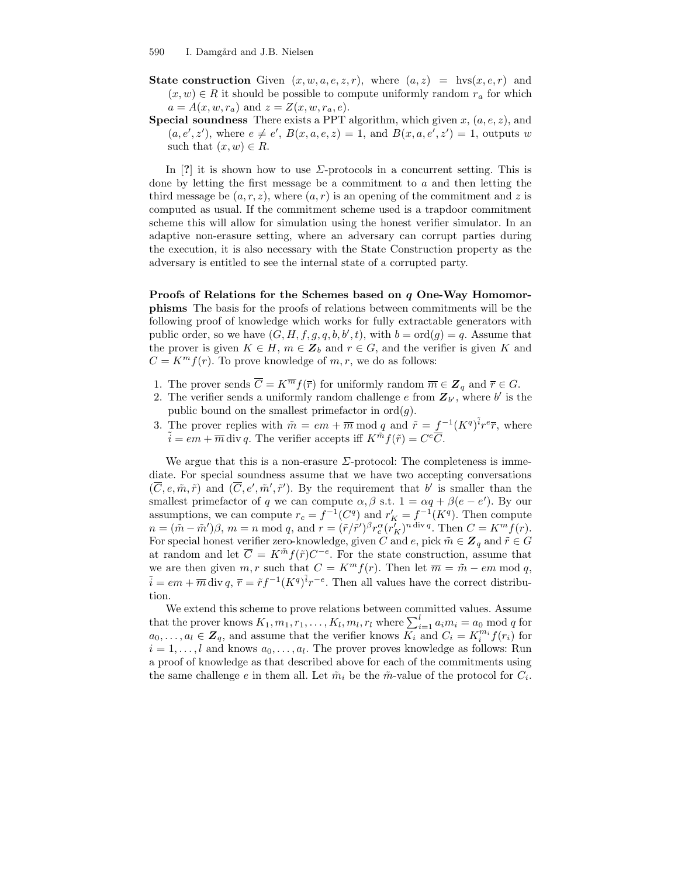- **State construction** Given  $(x, w, a, e, z, r)$ , where  $(a, z) = \text{hvs}(x, e, r)$  and  $(x, w) \in R$  it should be possible to compute uniformly random  $r_a$  for which  $a = A(x, w, r_a)$  and  $z = Z(x, w, r_a, e)$ .
- **Special soundness** There exists a PPT algorithm, which given  $x$ ,  $(a, e, z)$ , and  $(a, e', z')$ , where  $e \neq e'$ ,  $B(x, a, e, z) = 1$ , and  $B(x, a, e', z') = 1$ , outputs w such that  $(x, w) \in R$ .

In [?] it is shown how to use  $\Sigma$ -protocols in a concurrent setting. This is done by letting the first message be a commitment to a and then letting the third message be  $(a, r, z)$ , where  $(a, r)$  is an opening of the commitment and z is computed as usual. If the commitment scheme used is a trapdoor commitment scheme this will allow for simulation using the honest verifier simulator. In an adaptive non-erasure setting, where an adversary can corrupt parties during the execution, it is also necessary with the State Construction property as the adversary is entitled to see the internal state of a corrupted party.

Proofs of Relations for the Schemes based on q One-Way Homomorphisms The basis for the proofs of relations between commitments will be the following proof of knowledge which works for fully extractable generators with public order, so we have  $(G, H, f, g, q, b, b', t)$ , with  $b = \text{ord}(g) = q$ . Assume that the prover is given  $K \in H$ ,  $m \in \mathbb{Z}_b$  and  $r \in G$ , and the verifier is given K and  $C = K<sup>m</sup> f(r)$ . To prove knowledge of m, r, we do as follows:

- 1. The prover sends  $\overline{C} = K^{\overline{m}} f(\overline{r})$  for uniformly random  $\overline{m} \in \mathbf{Z}_q$  and  $\overline{r} \in G$ .
- 2. The verifier sends a uniformly random challenge  $e$  from  $\mathbf{Z}_{b'}$ , where  $b'$  is the public bound on the smallest primefactor in  $\text{ord}(g)$ .
- 3. The prover replies with  $\tilde{m} = em + \overline{m} \text{ mod } q$  and  $\tilde{r} = f^{-1}(K^q)^{\tilde{i}} r^e \overline{r}$ , where  $\tilde{i} = em + \overline{m} \operatorname{div} q$ . The verifier accepts iff  $K^{\tilde{m}} f(\tilde{r}) = C^e \overline{C}$ .

We argue that this is a non-erasure  $\Sigma$ -protocol: The completeness is immediate. For special soundness assume that we have two accepting conversations  $(\overline{C}, e, \tilde{m}, \tilde{r})$  and  $(\overline{C}, e', \tilde{m}', \tilde{r}')$ . By the requirement that b' is smaller than the smallest primefactor of q we can compute  $\alpha, \beta$  s.t.  $1 = \alpha q + \beta (e - e')$ . By our assumptions, we can compute  $r_c = f^{-1}(C^q)$  and  $r'_K = f^{-1}(K^q)$ . Then compute  $n = (\tilde{m} - \tilde{m}')\beta$ ,  $m = n \mod q$ , and  $r = (\tilde{r}/\tilde{r}')^{\beta} r_c^{\alpha} (r'_K)^{n \text{ div } q}$ . Then  $C = K^m f(r)$ . For special honest verifier zero-knowledge, given C and  $e$ , pick  $\tilde{m} \in \mathbb{Z}_q$  and  $\tilde{r} \in G$ at random and let  $\overline{C} = K^{\tilde{m}} f(\tilde{r}) C^{-e}$ . For the state construction, assume that we are then given  $m, r$  such that  $C = K^m f(r)$ . Then let  $\overline{m} = \tilde{m} - e m \mod q$ ,  $\tilde{i} = em + \overline{m} \operatorname{div} q, \, \overline{r} = \tilde{r} f^{-1} (K^q) \tilde{i} r^{-e}$ . Then all values have the correct distribution.

We extend this scheme to prove relations between committed values. Assume that the prover knows  $K_1, m_1, r_1, \ldots, K_l, m_l, r_l$  where  $\sum_{i=1}^l a_i m_i = a_0 \mod q$  for  $a_0, \ldots, a_l \in \mathbb{Z}_q$ , and assume that the verifier knows  $\overline{K_i}$  and  $C_i = K_i^{m_i} f(r_i)$  for  $i = 1, \ldots, l$  and knows  $a_0, \ldots, a_l$ . The prover proves knowledge as follows: Run a proof of knowledge as that described above for each of the commitments using the same challenge e in them all. Let  $\tilde{m}_i$  be the  $\tilde{m}$ -value of the protocol for  $C_i$ .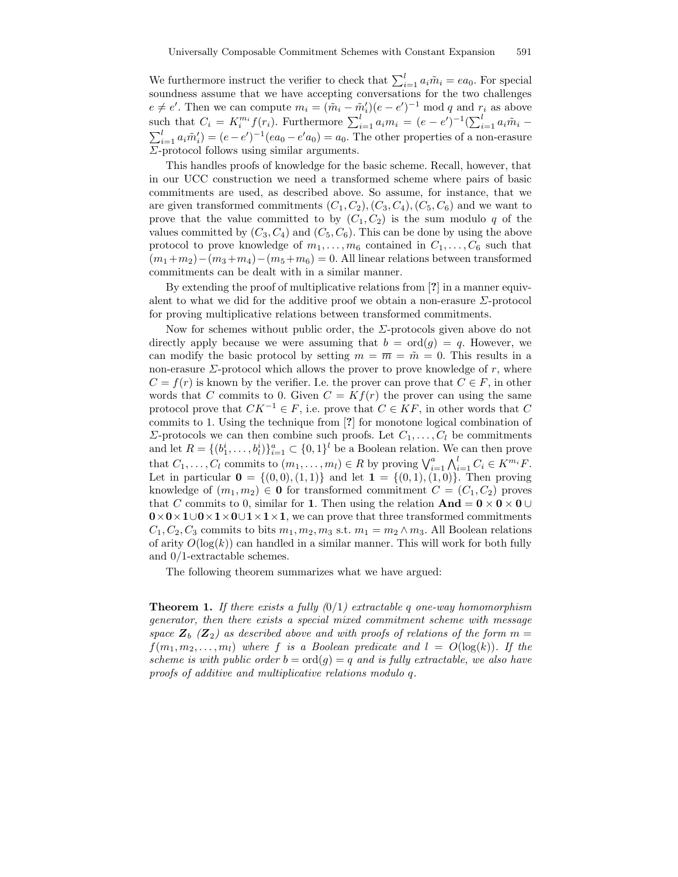We furthermore instruct the verifier to check that  $\sum_{i=1}^{l} a_i \tilde{m}_i = ea_0$ . For special soundness assume that we have accepting conversations for the two challenges  $e \neq e'$ . Then we can compute  $m_i = (\tilde{m}_i - \tilde{m}'_i)(e - e')^{-1} \mod q$  and  $r_i$  as above such that  $C_i = K_i^{m_i} f(r_i)$ . Furthermore  $\sum_{i=1}^l a_i m_i = (e - e')^{-1} (\sum_{i=1}^l a_i \tilde{m}_i \sum_{i=1}^{l} a_i \tilde{m}'_i$  =  $(e - e')^{-1} (ea_0 - e'a_0) = a_0$ . The other properties of a non-erasure Σ-protocol follows using similar arguments.

This handles proofs of knowledge for the basic scheme. Recall, however, that in our UCC construction we need a transformed scheme where pairs of basic commitments are used, as described above. So assume, for instance, that we are given transformed commitments  $(C_1, C_2), (C_3, C_4), (C_5, C_6)$  and we want to prove that the value committed to by  $(C_1, C_2)$  is the sum modulo q of the values committed by  $(C_3, C_4)$  and  $(C_5, C_6)$ . This can be done by using the above protocol to prove knowledge of  $m_1, \ldots, m_6$  contained in  $C_1, \ldots, C_6$  such that  $(m_1+m_2)-(m_3+m_4)-(m_5+m_6)=0.$  All linear relations between transformed commitments can be dealt with in a similar manner.

By extending the proof of multiplicative relations from [?] in a manner equivalent to what we did for the additive proof we obtain a non-erasure  $\Sigma$ -protocol for proving multiplicative relations between transformed commitments.

Now for schemes without public order, the  $\Sigma$ -protocols given above do not directly apply because we were assuming that  $b = \text{ord}(q) = q$ . However, we can modify the basic protocol by setting  $m = \overline{m} = \tilde{m} = 0$ . This results in a non-erasure  $\Sigma$ -protocol which allows the prover to prove knowledge of r, where  $C = f(r)$  is known by the verifier. I.e. the prover can prove that  $C \in F$ , in other words that C commits to 0. Given  $C = Kf(r)$  the prover can using the same protocol prove that  $CK^{-1} \in F$ , i.e. prove that  $C \in \overline{KF}$ , in other words that C commits to 1. Using the technique from [?] for monotone logical combination of  $\Sigma$ -protocols we can then combine such proofs. Let  $C_1, \ldots, C_l$  be commitments and let  $R = \{(b_1^i, \ldots, b_l^i)\}_{i=1}^a \subset \{0,1\}^l$  be a Boolean relation. We can then prove that  $C_1, \ldots, C_l$  commits to  $(m_1, \ldots, m_l) \in R$  by proving  $\bigvee_{i=1}^a \bigwedge_{i=1}^l C_i \in K^{m_i}F$ . Let in particular  $\mathbf{0} = \{(0,0), (1,1)\}\$  and let  $\mathbf{1} = \{(0,1), (1,0)\}\$ . Then proving knowledge of  $(m_1, m_2) \in \mathbf{0}$  for transformed commitment  $C = (C_1, C_2)$  proves that C commits to 0, similar for 1. Then using the relation  $\text{And} = 0 \times 0 \times 0 \cup$  $0\times0\times1\cup0\times1\times0\cup1\times1\times1$ , we can prove that three transformed commitments  $C_1, C_2, C_3$  commits to bits  $m_1, m_2, m_3$  s.t.  $m_1 = m_2 \wedge m_3$ . All Boolean relations of arity  $O(\log(k))$  can handled in a similar manner. This will work for both fully and 0/1-extractable schemes.

The following theorem summarizes what we have argued:

**Theorem 1.** If there exists a fully  $(0/1)$  extractable q one-way homomorphism generator, then there exists a special mixed commitment scheme with message space  $\mathbf{Z}_b$  ( $\mathbf{Z}_2$ ) as described above and with proofs of relations of the form  $m =$  $f(m_1, m_2, \ldots, m_l)$  where f is a Boolean predicate and  $l = O(\log(k))$ . If the scheme is with public order  $b = \text{ord}(q) = q$  and is fully extractable, we also have proofs of additive and multiplicative relations modulo q.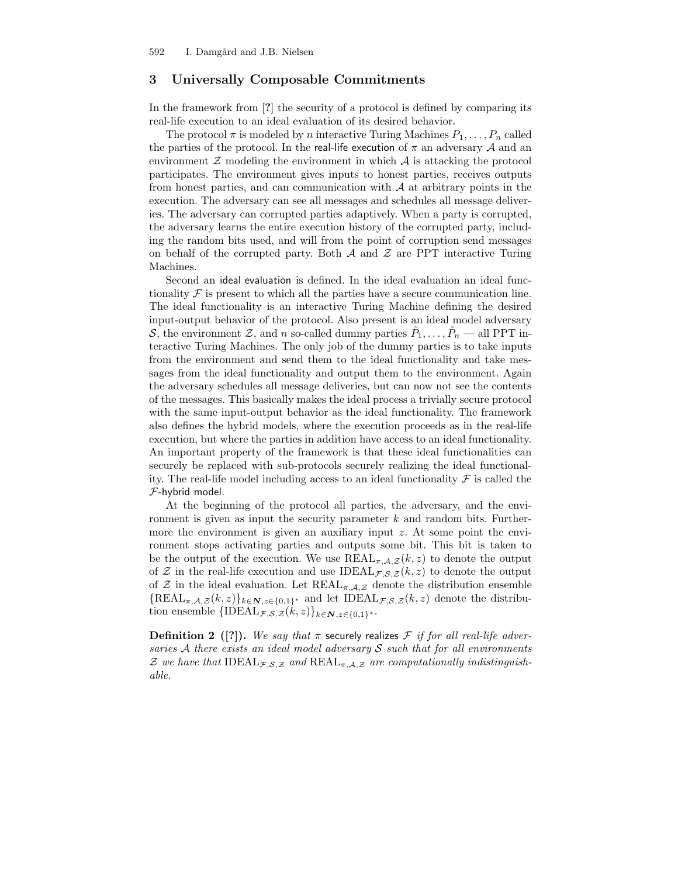## 3 Universally Composable Commitments

In the framework from [?] the security of a protocol is defined by comparing its real-life execution to an ideal evaluation of its desired behavior.

The protocol  $\pi$  is modeled by n interactive Turing Machines  $P_1, \ldots, P_n$  called the parties of the protocol. In the real-life execution of  $\pi$  an adversary  $\mathcal A$  and an environment  $\mathcal Z$  modeling the environment in which  $\mathcal A$  is attacking the protocol participates. The environment gives inputs to honest parties, receives outputs from honest parties, and can communication with  $A$  at arbitrary points in the execution. The adversary can see all messages and schedules all message deliveries. The adversary can corrupted parties adaptively. When a party is corrupted, the adversary learns the entire execution history of the corrupted party, including the random bits used, and will from the point of corruption send messages on behalf of the corrupted party. Both  $\mathcal A$  and  $\mathcal Z$  are PPT interactive Turing Machines.

Second an ideal evaluation is defined. In the ideal evaluation an ideal functionality  $\mathcal F$  is present to which all the parties have a secure communication line. The ideal functionality is an interactive Turing Machine defining the desired input-output behavior of the protocol. Also present is an ideal model adversary S, the environment Z, and n so-called dummy parties  $\tilde{P}_1, \ldots, \tilde{P}_n$  — all PPT interactive Turing Machines. The only job of the dummy parties is to take inputs from the environment and send them to the ideal functionality and take messages from the ideal functionality and output them to the environment. Again the adversary schedules all message deliveries, but can now not see the contents of the messages. This basically makes the ideal process a trivially secure protocol with the same input-output behavior as the ideal functionality. The framework also defines the hybrid models, where the execution proceeds as in the real-life execution, but where the parties in addition have access to an ideal functionality. An important property of the framework is that these ideal functionalities can securely be replaced with sub-protocols securely realizing the ideal functionality. The real-life model including access to an ideal functionality  $\mathcal F$  is called the F-hybrid model.

At the beginning of the protocol all parties, the adversary, and the environment is given as input the security parameter  $k$  and random bits. Furthermore the environment is given an auxiliary input  $z$ . At some point the environment stops activating parties and outputs some bit. This bit is taken to be the output of the execution. We use  $REAL_{\pi,\mathcal{A},\mathcal{Z}}(k,z)$  to denote the output of Z in the real-life execution and use IDEAL $_{\mathcal{F},\mathcal{S},\mathcal{Z}}(k,z)$  to denote the output of Z in the ideal evaluation. Let  $REAL_{\pi,\mathcal{A},\mathcal{Z}}$  denote the distribution ensemble  ${REL_{\pi,\mathcal{A,Z}}(k,z)}_{k\in\mathbf{N},z\in\{0,1\}^*}$  and let  ${IDEAL}_{\mathcal{F},\mathcal{S},\mathcal{Z}}(k,z)$  denote the distribution ensemble  $\{\text{IDEAL}_{\mathcal{F},\mathcal{S},\mathcal{Z}}(k,z)\}_{k\in\mathbf{N},z\in\{0,1\}^*}$ .

**Definition 2** ([?]). We say that  $\pi$  securely realizes  $\mathcal F$  if for all real-life adversaries  $A$  there exists an ideal model adversary  $S$  such that for all environments  $\mathcal Z$  we have that IDEAL $_{\mathcal F, \mathcal S, \mathcal Z}$  and  $REAL_{\pi, \mathcal A, \mathcal Z}$  are computationally indistinguishable.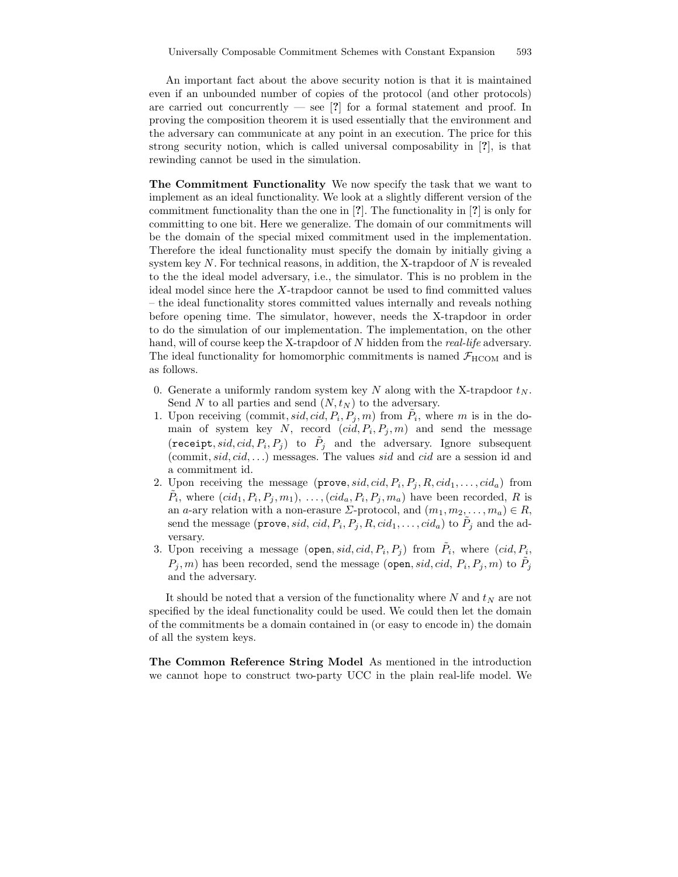An important fact about the above security notion is that it is maintained even if an unbounded number of copies of the protocol (and other protocols) are carried out concurrently  $-$  see [?] for a formal statement and proof. In proving the composition theorem it is used essentially that the environment and the adversary can communicate at any point in an execution. The price for this strong security notion, which is called universal composability in [?], is that rewinding cannot be used in the simulation.

The Commitment Functionality We now specify the task that we want to implement as an ideal functionality. We look at a slightly different version of the commitment functionality than the one in [?]. The functionality in [?] is only for committing to one bit. Here we generalize. The domain of our commitments will be the domain of the special mixed commitment used in the implementation. Therefore the ideal functionality must specify the domain by initially giving a system key  $N$ . For technical reasons, in addition, the X-trapdoor of  $N$  is revealed to the the ideal model adversary, i.e., the simulator. This is no problem in the ideal model since here the X-trapdoor cannot be used to find committed values – the ideal functionality stores committed values internally and reveals nothing before opening time. The simulator, however, needs the X-trapdoor in order to do the simulation of our implementation. The implementation, on the other hand, will of course keep the X-trapdoor of N hidden from the real-life adversary. The ideal functionality for homomorphic commitments is named  $\mathcal{F}_{\text{HCOM}}$  and is as follows.

- 0. Generate a uniformly random system key N along with the X-trapdoor  $t_N$ . Send N to all parties and send  $(N, t_N)$  to the adversary.
- 1. Upon receiving (commit, sid, cid,  $P_i$ ,  $P_j$ , m) from  $\tilde{P}_i$ , where m is in the domain of system key N, record  $(cid, P_i, P_j, m)$  and send the message (receipt,  $sid, cid, P_i, P_j$ ) to  $\tilde{P}_j$  and the adversary. Ignore subsequent (commit,  $sid, cid, ...)$  messages. The values  $sid$  and  $cid$  are a session id and a commitment id.
- 2. Upon receiving the message (prove,  $sid, cid, P_i, P_j, R, cid_1, \ldots, cid_a)$  from  $\tilde{P}_i$ , where  $(cid_1, P_i, P_j, m_1), \ldots, (cid_a, P_i, P_j, m_a)$  have been recorded, R is an a-ary relation with a non-erasure  $\Sigma$ -protocol, and  $(m_1, m_2, \ldots, m_a) \in R$ , send the message (prove, sid, cid,  $P_i$ ,  $P_j$ ,  $R, cid_1, \ldots, cid_a$ ) to  $\tilde{P}_j$  and the adversary.
- 3. Upon receiving a message (open, sid, cid,  $P_i$ ,  $P_j$ ) from  $\tilde{P}_i$ , where  $(cid, P_i)$  $P_j, m)$  has been recorded, send the message (open, sid, cid,  $P_i, P_j, m)$  to  $\tilde{P}_j$ and the adversary.

It should be noted that a version of the functionality where  $N$  and  $t_N$  are not specified by the ideal functionality could be used. We could then let the domain of the commitments be a domain contained in (or easy to encode in) the domain of all the system keys.

The Common Reference String Model As mentioned in the introduction we cannot hope to construct two-party UCC in the plain real-life model. We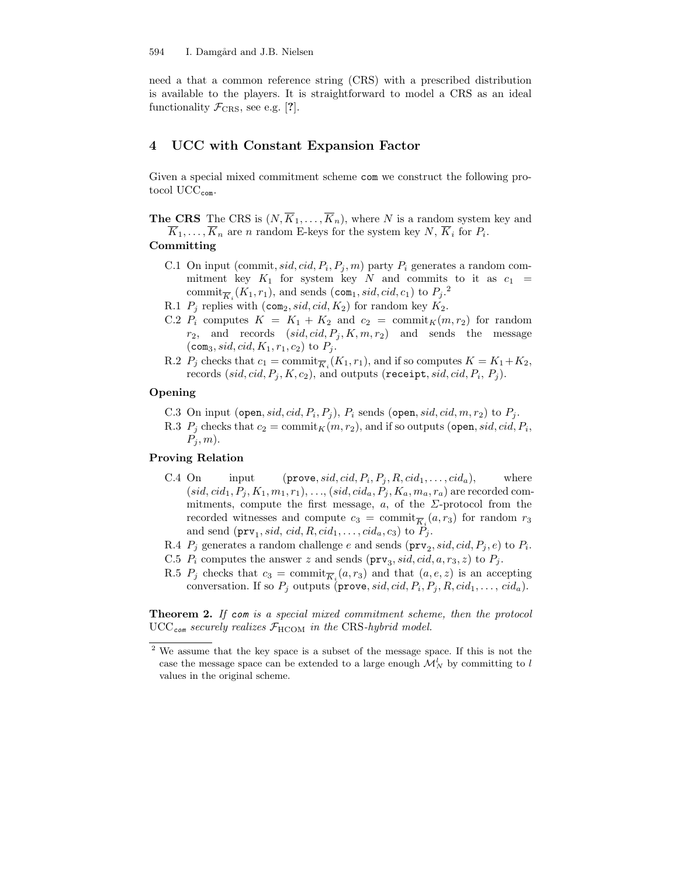need a that a common reference string (CRS) with a prescribed distribution is available to the players. It is straightforward to model a CRS as an ideal functionality  $\mathcal{F}_{CRS}$ , see e.g. [?].

## 4 UCC with Constant Expansion Factor

Given a special mixed commitment scheme com we construct the following protocol  $\mathrm{UCC}_{\text{com}}$ .

**The CRS** The CRS is  $(N, \overline{K}_1, \ldots, \overline{K}_n)$ , where N is a random system key and  $K_1, \ldots, K_n$  are n random E-keys for the system key N,  $K_i$  for  $P_i$ .

#### Committing

- C.1 On input (commit, sid, cid,  $P_i$ ,  $P_j$ , m) party  $P_i$  generates a random commitment key  $K_1$  for system key N and commits to it as  $c_1$  = commit<sub> $\overline{K}_i(K_1, r_1)$ , and sends (com<sub>1</sub>, sid, cid, c<sub>1</sub>) to  $P_j$ .<sup>2</sup></sub>
- R.1  $P_j$  replies with (com<sub>2</sub>, sid, cid,  $K_2$ ) for random key  $K_2$ .
- C.2  $P_i$  computes  $K = K_1 + K_2$  and  $c_2 = \text{commit}_K(m, r_2)$  for random  $r_2$ , and records  $(sid, cid, P_j, K, m, r_2)$  and sends the message  $(\text{com}_3, sid, cid, K_1, r_1, c_2)$  to  $P_j$ .
- R.2  $P_j$  checks that  $c_1 = \text{commit}_{\overline{K}_i}(K_1, r_1)$ , and if so computes  $K = K_1 + K_2$ , records  $(\textit{sid}, \textit{cid}, P_j, K, c_2)$ , and outputs  $(\texttt{receiveity}, \textit{sid}, \textit{cid}, P_i, P_j).$

#### Opening

- C.3 On input (open, sid, cid,  $P_i$ ,  $P_j$ ),  $P_i$  sends (open, sid, cid,  $m, r_2$ ) to  $P_j$ .
- R.3  $P_j$  checks that  $c_2 = \text{commit}_K(m, r_2)$ , and if so outputs (open, sid, cid,  $P_i$ ,  $P_i$ , m.

### Proving Relation

- C.4 On input (prove, sid, cid,  $P_i$ ,  $P_j$ ,  $R$ ,  $cid_1$ , ...,  $cid_a$ ), where  $(side, cid_1, P_j, K_1, m_1, r_1), \ldots, (sid, cid_a, P_j, K_a, m_a, r_a)$  are recorded commitments, compute the first message,  $a$ , of the  $\Sigma$ -protocol from the recorded witnesses and compute  $c_3 = \text{commit}_{\overline{K}_i}(a, r_3)$  for random  $r_3$ and send  $(\text{prv}_1, sid, cid, R, cid_1, \ldots, cid_a, c_3)$  to  $P_j$ .
- R.4  $P_j$  generates a random challenge e and sends ( $\text{prv}_2$ ,  $sid, cid, P_j, e$ ) to  $P_i$ .
- C.5  $P_i$  computes the answer z and sends ( $\text{prv}_3$ , sid, cid, a,  $r_3$ , z) to  $P_j$ .
- R.5  $P_j$  checks that  $c_3 = \text{commit}_{\overline{K}_i}(a, r_3)$  and that  $(a, e, z)$  is an accepting conversation. If so  $P_j$  outputs (prove, sid, cid,  $P_i$ ,  $P_j$ ,  $R$ , cid<sub>1</sub>, ..., cid<sub>a</sub>).

Theorem 2. If com is a special mixed commitment scheme, then the protocol  $UCC_{com}$  securely realizes  $\mathcal{F}_{HCOM}$  in the CRS-hybrid model.

<sup>2</sup> We assume that the key space is a subset of the message space. If this is not the case the message space can be extended to a large enough  $\mathcal{M}^l_N$  by committing to l values in the original scheme.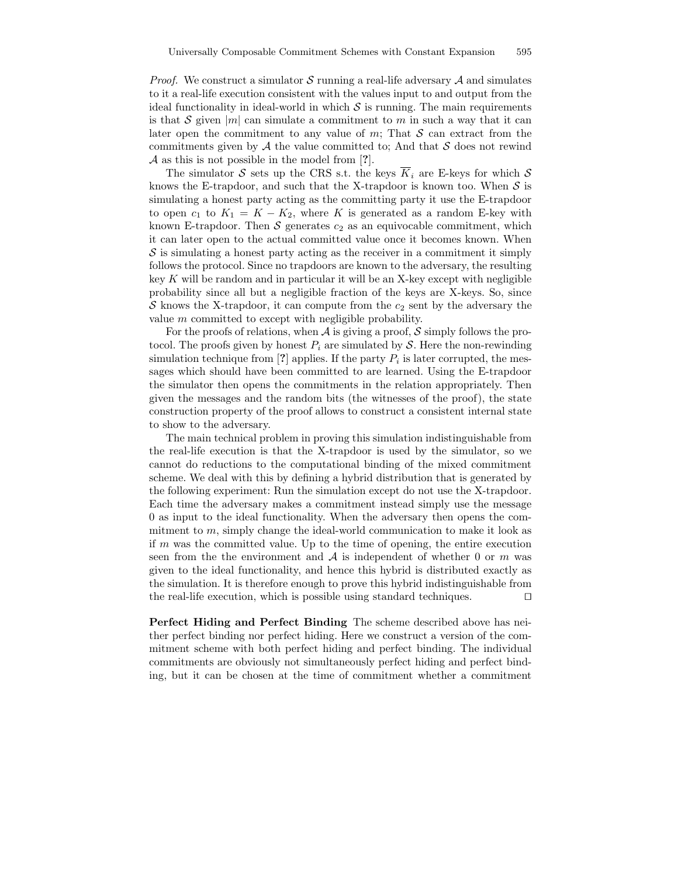*Proof.* We construct a simulator S running a real-life adversary  $\mathcal A$  and simulates to it a real-life execution consistent with the values input to and output from the ideal functionality in ideal-world in which  $S$  is running. The main requirements is that S given |m| can simulate a commitment to m in such a way that it can later open the commitment to any value of  $m$ ; That  $S$  can extract from the commitments given by  $A$  the value committed to; And that  $S$  does not rewind A as this is not possible in the model from [?].

The simulator S sets up the CRS s.t. the keys  $\overline{K}_i$  are E-keys for which S knows the E-trapdoor, and such that the X-trapdoor is known too. When  $S$  is simulating a honest party acting as the committing party it use the E-trapdoor to open  $c_1$  to  $K_1 = K - K_2$ , where K is generated as a random E-key with known E-trapdoor. Then  $S$  generates  $c_2$  as an equivocable commitment, which it can later open to the actual committed value once it becomes known. When  $S$  is simulating a honest party acting as the receiver in a commitment it simply follows the protocol. Since no trapdoors are known to the adversary, the resulting key  $K$  will be random and in particular it will be an X-key except with negligible probability since all but a negligible fraction of the keys are X-keys. So, since S knows the X-trapdoor, it can compute from the  $c_2$  sent by the adversary the value m committed to except with negligible probability.

For the proofs of relations, when  $A$  is giving a proof,  $S$  simply follows the protocol. The proofs given by honest  $P_i$  are simulated by S. Here the non-rewinding simulation technique from [?] applies. If the party  $P_i$  is later corrupted, the messages which should have been committed to are learned. Using the E-trapdoor the simulator then opens the commitments in the relation appropriately. Then given the messages and the random bits (the witnesses of the proof), the state construction property of the proof allows to construct a consistent internal state to show to the adversary.

The main technical problem in proving this simulation indistinguishable from the real-life execution is that the X-trapdoor is used by the simulator, so we cannot do reductions to the computational binding of the mixed commitment scheme. We deal with this by defining a hybrid distribution that is generated by the following experiment: Run the simulation except do not use the X-trapdoor. Each time the adversary makes a commitment instead simply use the message 0 as input to the ideal functionality. When the adversary then opens the commitment to  $m$ , simply change the ideal-world communication to make it look as if  $m$  was the committed value. Up to the time of opening, the entire execution seen from the the environment and  $\mathcal A$  is independent of whether 0 or m was given to the ideal functionality, and hence this hybrid is distributed exactly as the simulation. It is therefore enough to prove this hybrid indistinguishable from the real-life execution, which is possible using standard techniques.  $\Box$ 

Perfect Hiding and Perfect Binding The scheme described above has neither perfect binding nor perfect hiding. Here we construct a version of the commitment scheme with both perfect hiding and perfect binding. The individual commitments are obviously not simultaneously perfect hiding and perfect binding, but it can be chosen at the time of commitment whether a commitment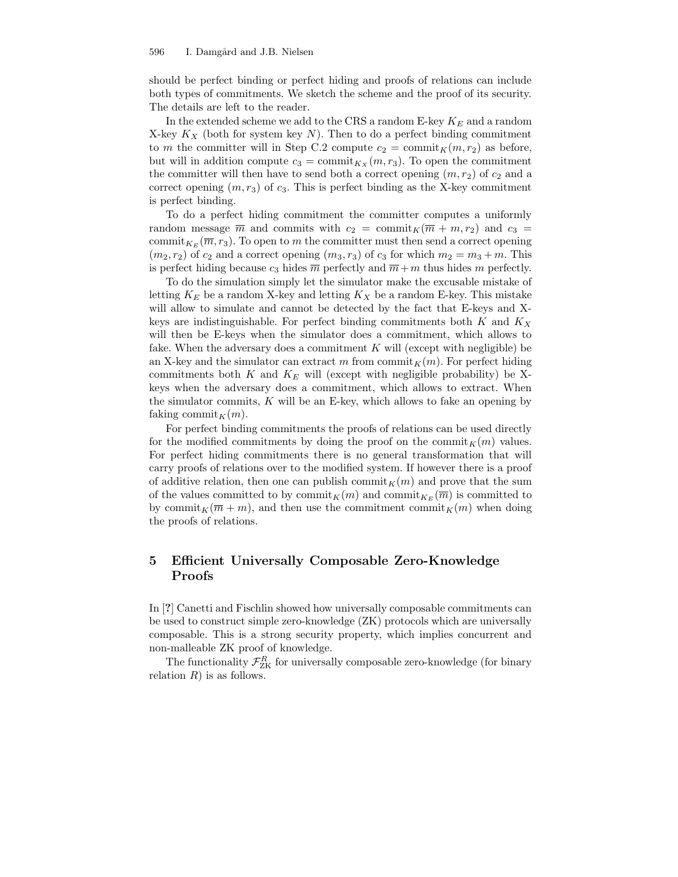should be perfect binding or perfect hiding and proofs of relations can include both types of commitments. We sketch the scheme and the proof of its security. The details are left to the reader.

In the extended scheme we add to the CRS a random E-key  $K_E$  and a random X-key  $K_X$  (both for system key N). Then to do a perfect binding commitment to m the committer will in Step C.2 compute  $c_2 = \text{commit}_K(m, r_2)$  as before, but will in addition compute  $c_3 = \text{commit}_{K_X}(m, r_3)$ . To open the commitment the committer will then have to send both a correct opening  $(m, r_2)$  of  $c_2$  and a correct opening  $(m, r_3)$  of  $c_3$ . This is perfect binding as the X-key commitment is perfect binding.

To do a perfect hiding commitment the committer computes a uniformly random message  $\overline{m}$  and commits with  $c_2 = \text{commit}_K(\overline{m} + m, r_2)$  and  $c_3 =$ commit<sub>KE</sub> $(\overline{m}, r_3)$ . To open to m the committer must then send a correct opening  $(m_2, r_2)$  of  $c_2$  and a correct opening  $(m_3, r_3)$  of  $c_3$  for which  $m_2 = m_3 + m$ . This is perfect hiding because  $c_3$  hides  $\overline{m}$  perfectly and  $\overline{m}+m$  thus hides m perfectly.

To do the simulation simply let the simulator make the excusable mistake of letting  $K_E$  be a random X-key and letting  $K_X$  be a random E-key. This mistake will allow to simulate and cannot be detected by the fact that E-keys and Xkeys are indistinguishable. For perfect binding commitments both  $K$  and  $K_X$ will then be E-keys when the simulator does a commitment, which allows to fake. When the adversary does a commitment  $K$  will (except with negligible) be an X-key and the simulator can extract m from commit $_K(m)$ . For perfect hiding commitments both K and  $K_E$  will (except with negligible probability) be Xkeys when the adversary does a commitment, which allows to extract. When the simulator commits,  $K$  will be an E-key, which allows to fake an opening by faking commit<sub>K</sub> $(m)$ .

For perfect binding commitments the proofs of relations can be used directly for the modified commitments by doing the proof on the commit<sub>K</sub> $(m)$  values. For perfect hiding commitments there is no general transformation that will carry proofs of relations over to the modified system. If however there is a proof of additive relation, then one can publish commit<sub>K</sub> $(m)$  and prove that the sum of the values committed to by commit<sub>K</sub> $(m)$  and commit<sub>KE</sub> $(\overline{m})$  is committed to by commit $K(\overline{m} + m)$ , and then use the commitment commit $K(m)$  when doing the proofs of relations.

## 5 Efficient Universally Composable Zero-Knowledge Proofs

In [?] Canetti and Fischlin showed how universally composable commitments can be used to construct simple zero-knowledge (ZK) protocols which are universally composable. This is a strong security property, which implies concurrent and non-malleable ZK proof of knowledge.

The functionality  $\mathcal{F}_{\text{ZK}}^R$  for universally composable zero-knowledge (for binary relation  $R$ ) is as follows.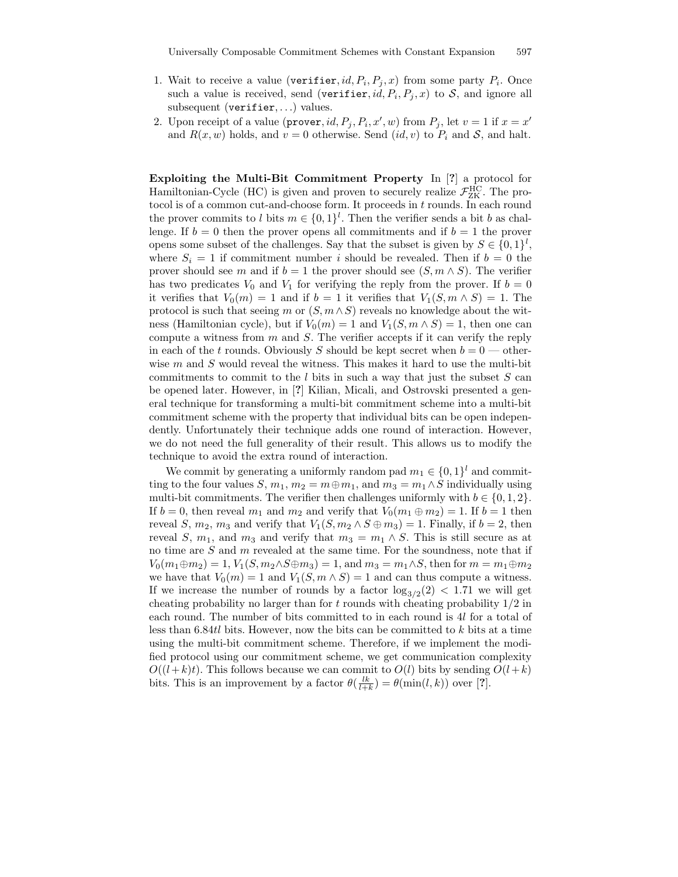- 1. Wait to receive a value (verifier,  $id, P_i, P_j, x$ ) from some party  $P_i$ . Once such a value is received, send (verifier,  $id, P_i, P_j, x)$  to  $\mathcal{S}$ , and ignore all subsequent (verifier, ...) values.
- 2. Upon receipt of a value (prover, id,  $P_j$ ,  $P_i$ , x', w) from  $P_j$ , let  $v = 1$  if  $x = x'$ and  $R(x, w)$  holds, and  $v = 0$  otherwise. Send  $(id, v)$  to  $P_i$  and  $S$ , and halt.

Exploiting the Multi-Bit Commitment Property In [?] a protocol for Hamiltonian-Cycle (HC) is given and proven to securely realize  $\mathcal{F}_{\rm ZK}^{\rm HC}$ . The protocol is of a common cut-and-choose form. It proceeds in t rounds. In each round the prover commits to l bits  $m \in \{0,1\}^l$ . Then the verifier sends a bit b as challenge. If  $b = 0$  then the prover opens all commitments and if  $b = 1$  the prover opens some subset of the challenges. Say that the subset is given by  $S \in \{0,1\}^l$ , where  $S_i = 1$  if commitment number i should be revealed. Then if  $b = 0$  the prover should see m and if  $b = 1$  the prover should see  $(S, m \wedge S)$ . The verifier has two predicates  $V_0$  and  $V_1$  for verifying the reply from the prover. If  $b = 0$ it verifies that  $V_0(m) = 1$  and if  $b = 1$  it verifies that  $V_1(S, m \wedge S) = 1$ . The protocol is such that seeing m or  $(S, m \wedge S)$  reveals no knowledge about the witness (Hamiltonian cycle), but if  $V_0(m) = 1$  and  $V_1(S, m \wedge S) = 1$ , then one can compute a witness from  $m$  and  $S$ . The verifier accepts if it can verify the reply in each of the t rounds. Obviously S should be kept secret when  $b = 0$  — otherwise  $m$  and  $S$  would reveal the witness. This makes it hard to use the multi-bit commitments to commit to the  $l$  bits in such a way that just the subset  $S$  can be opened later. However, in [?] Kilian, Micali, and Ostrovski presented a general technique for transforming a multi-bit commitment scheme into a multi-bit commitment scheme with the property that individual bits can be open independently. Unfortunately their technique adds one round of interaction. However, we do not need the full generality of their result. This allows us to modify the technique to avoid the extra round of interaction.

We commit by generating a uniformly random pad  $m_1 \in \{0, 1\}^l$  and committing to the four values S,  $m_1$ ,  $m_2 = m \oplus m_1$ , and  $m_3 = m_1 \wedge S$  individually using multi-bit commitments. The verifier then challenges uniformly with  $b \in \{0, 1, 2\}$ . If  $b = 0$ , then reveal  $m_1$  and  $m_2$  and verify that  $V_0(m_1 \oplus m_2) = 1$ . If  $b = 1$  then reveal S,  $m_2$ ,  $m_3$  and verify that  $V_1(S, m_2 \wedge S \oplus m_3) = 1$ . Finally, if  $b = 2$ , then reveal S,  $m_1$ , and  $m_3$  and verify that  $m_3 = m_1 \wedge S$ . This is still secure as at no time are  $S$  and  $m$  revealed at the same time. For the soundness, note that if  $V_0(m_1\oplus m_2)=1, V_1(S,m_2\wedge S\oplus m_3)=1,$  and  $m_3=m_1\wedge S$ , then for  $m=m_1\oplus m_2$ we have that  $V_0(m) = 1$  and  $V_1(S, m \wedge S) = 1$  and can thus compute a witness. If we increase the number of rounds by a factor  $\log_{3/2}(2)$  < 1.71 we will get cheating probability no larger than for  $t$  rounds with cheating probability  $1/2$  in each round. The number of bits committed to in each round is 4l for a total of less than 6.84tl bits. However, now the bits can be committed to k bits at a time using the multi-bit commitment scheme. Therefore, if we implement the modified protocol using our commitment scheme, we get communication complexity  $O((l+k)t)$ . This follows because we can commit to  $O(l)$  bits by sending  $O(l+k)$ bits. This is an improvement by a factor  $\theta(\frac{lk}{l+k}) = \theta(\min(l,k))$  over [?].